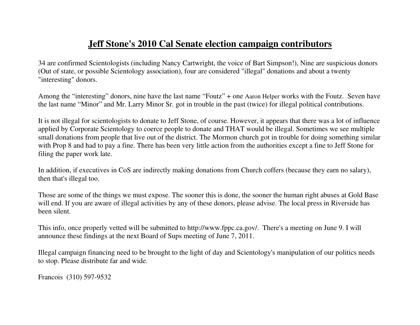# **Jeff Stone's 2010 Cal Senate election campaign contributors**

34 are confirmed Scientologists (including Nancy Cartwright, the voice of Bart Simpson!), Nine are suspicious donors (Out of state, or possible Scientology association), four are considered "illegal" donations and about a twenty "interesting" donors.

Among the "interesting" donors, nine have the last name "Foutz" + one Aaron Helper works with the Foutz. Seven have the last name "Minor" and Mr. Larry Minor Sr. got in trouble in the past (twice) for illegal political contributions.

It is not illegal for scientologists to donate to Jeff Stone, of course. However, it appears that there was a lot of influence applied by Corporate Scientology to coerce people to donate and THAT would be illegal. Sometimes we see multiple small donations from people that live out of the district. The Mormon church got in trouble for doing something similar with Prop 8 and had to pay a fine. There has been very little action from the authorities except a fine to Jeff Stone for filing the paper work late.

In addition, if executives in CoS are indirectly making donations from Church coffers (because they earn no salary), then that's illegal too.

Those are some of the things we must expose. The sooner this is done, the sooner the human right abuses at Gold Base will end. If you are aware of illegal activities by any of these donors, please advise. The local press in Riverside has been silent.

This info, once properly vetted will be submitted to http://www.fppc.ca.gov/. There's a meeting on June 9. I will announce these findings at the next Board of Sups meeting of June 7, 2011.

Illegal campaign financing need to be brought to the light of day and Scientology's manipulation of our politics needs to stop. Please distribute far and wide.

Francois (310) 597-9532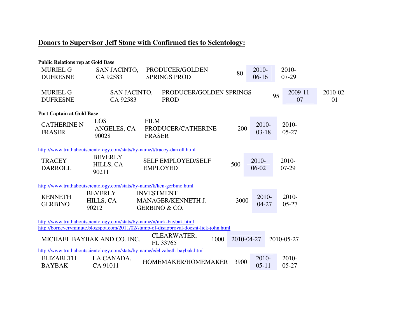## **Donors to Supervisor Jeff Stone with Confirmed ties to Scientology:**

| <b>Public Relations rep at Gold Base</b> |                             |                                                                                        |            |           |    |               |          |
|------------------------------------------|-----------------------------|----------------------------------------------------------------------------------------|------------|-----------|----|---------------|----------|
| <b>MURIEL G</b>                          | SAN JACINTO,                | PRODUCER/GOLDEN                                                                        | 80         | 2010-     |    | 2010-         |          |
| <b>DUFRESNE</b>                          | CA 92583                    | <b>SPRINGS PROD</b>                                                                    |            | $06-16$   |    | $07-29$       |          |
|                                          |                             |                                                                                        |            |           |    |               |          |
| <b>MURIEL G</b>                          | SAN JACINTO,                | PRODUCER/GOLDEN SPRINGS                                                                |            |           | 95 | $2009 - 11 -$ | 2010-02- |
| <b>DUFRESNE</b>                          | CA 92583                    | <b>PROD</b>                                                                            |            |           |    | 07            | 01       |
| <b>Port Captain at Gold Base</b>         |                             |                                                                                        |            |           |    |               |          |
|                                          | <b>LOS</b>                  | <b>FILM</b>                                                                            |            |           |    |               |          |
| <b>CATHERINE N</b>                       | ANGELES, CA                 | PRODUCER/CATHERINE                                                                     | 200        | 2010-     |    | 2010-         |          |
| <b>FRASER</b>                            | 90028                       | <b>FRASER</b>                                                                          |            | $03-18$   |    | $05 - 27$     |          |
|                                          |                             |                                                                                        |            |           |    |               |          |
|                                          |                             | http://www.truthaboutscientology.com/stats/by-name/t/tracey-darroll.html               |            |           |    |               |          |
| <b>TRACEY</b>                            | <b>BEVERLY</b>              | <b>SELF EMPLOYED/SELF</b>                                                              |            | 2010-     |    | $2010-$       |          |
| <b>DARROLL</b>                           | HILLS, CA                   | <b>EMPLOYED</b>                                                                        | 500        | 06-02     |    | $07-29$       |          |
|                                          | 90211                       |                                                                                        |            |           |    |               |          |
|                                          |                             | http://www.truthaboutscientology.com/stats/by-name/k/ken-gerbino.html                  |            |           |    |               |          |
|                                          | <b>BEVERLY</b>              | <b>INVESTMENT</b>                                                                      |            |           |    |               |          |
| <b>KENNETH</b>                           | HILLS, CA                   | MANAGER/KENNETH J.                                                                     | 3000       | 2010-     |    | 2010-         |          |
| <b>GERBINO</b>                           | 90212                       | <b>GERBINO &amp; CO.</b>                                                               |            | $04 - 27$ |    | $05 - 27$     |          |
|                                          |                             |                                                                                        |            |           |    |               |          |
|                                          |                             | http://www.truthaboutscientology.com/stats/by-name/n/nick-baybak.html                  |            |           |    |               |          |
|                                          |                             | http://borneveryminute.blogspot.com/2011/02/stamp-of-disapproval-doesnt-lick-john.html |            |           |    |               |          |
|                                          | MICHAEL BAYBAK AND CO. INC. | CLEARWATER,<br>1000<br>FL 33765                                                        | 2010-04-27 |           |    | 2010-05-27    |          |
|                                          |                             | http://www.truthaboutscientology.com/stats/by-name/e/elizabeth-baybak.html             |            |           |    |               |          |
| <b>ELIZABETH</b>                         | LA CANADA,                  | HOMEMAKER/HOMEMAKER                                                                    | 3900       | 2010-     |    | 2010-         |          |
| <b>BAYBAK</b>                            | CA 91011                    |                                                                                        |            | $05-11$   |    | $05 - 27$     |          |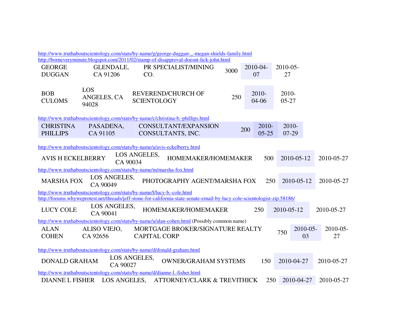|                          |              | http://www.truthaboutscientology.com/stats/by-name/g/george-duggan-_-megan-shields-family.html                            |      |                |     |             |            |
|--------------------------|--------------|---------------------------------------------------------------------------------------------------------------------------|------|----------------|-----|-------------|------------|
|                          |              | http://borneveryminute.blogspot.com/2011/02/stamp-of-disapproval-doesnt-lick-john.html                                    |      |                |     |             |            |
| <b>GEORGE</b>            | GLENDALE,    | PR SPECIALIST/MINING                                                                                                      | 3000 | 2010-04-       |     | $2010 - 05$ |            |
| <b>DUGGAN</b>            | CA 91206     | CO.                                                                                                                       |      | 07             |     | 27          |            |
|                          |              |                                                                                                                           |      |                |     |             |            |
|                          | LOS          |                                                                                                                           |      |                |     |             |            |
| <b>BOB</b>               | ANGELES, CA  | <b>REVEREND/CHURCH OF</b>                                                                                                 | 250  | 2010-          |     | 2010-       |            |
| <b>CULOMS</b>            | 94028        | <b>SCIENTOLOGY</b>                                                                                                        |      | $04 - 06$      |     | $05 - 27$   |            |
|                          |              |                                                                                                                           |      |                |     |             |            |
|                          |              | http://www.truthaboutscientology.com/stats/by-name/c/christina-b.-phillips.html                                           |      |                |     |             |            |
| <b>CHRISTINA</b>         | PASADENA,    | CONSULTANT/EXPANSION                                                                                                      |      | 2010-          |     | 2010-       |            |
| <b>PHILLIPS</b>          | CA 91105     | CONSULTANTS, INC.                                                                                                         |      | 200<br>$05-25$ |     | $07-29$     |            |
|                          |              |                                                                                                                           |      |                |     |             |            |
|                          |              | http://www.truthaboutscientology.com/stats/by-name/a/avis-eckelberry.html                                                 |      |                |     |             |            |
|                          |              | LOS ANGELES,                                                                                                              |      |                |     |             |            |
| <b>AVIS H ECKELBERRY</b> |              | HOMEMAKER/HOMEMAKER<br>CA 90034                                                                                           |      |                | 500 | 2010-05-12  | 2010-05-27 |
|                          |              | http://www.truthaboutscientology.com/stats/by-name/m/marsha-fox.html                                                      |      |                |     |             |            |
|                          | LOS ANGELES, |                                                                                                                           |      |                |     |             |            |
| <b>MARSHA FOX</b>        | CA 90049     | PHOTOGRAPHY AGENT/MARSHA FOX                                                                                              |      |                | 250 | 2010-05-12  | 2010-05-27 |
|                          |              | http://www.truthaboutscientology.com/stats/by-name/l/lucy-b.-cole.html                                                    |      |                |     |             |            |
|                          |              | http://forums.whyweprotest.net/threads/jeff-stone-for-california-state-senate-email-by-lucy-cole-scientologist-zip.58186/ |      |                |     |             |            |
|                          | LOS ANGELES, |                                                                                                                           |      |                |     |             |            |
| <b>LUCY COLE</b>         | CA 90041     | HOMEMAKER/HOMEMAKER                                                                                                       |      | 250            |     | 2010-05-12  | 2010-05-27 |
|                          |              | http://www.truthaboutscientology.com/stats/by-name/a/alan-cohen.html (Possibly common name)                               |      |                |     |             |            |
| <b>ALAN</b>              | ALISO VIEJO, | MORTGAGE BROKER/SIGNATURE REALTY                                                                                          |      |                |     | 2010-05-    | 2010-05-   |
| <b>COHEN</b>             | CA 92656     | <b>CAPITAL CORP</b>                                                                                                       |      |                |     | 750<br>03   | 27         |
|                          |              |                                                                                                                           |      |                |     |             |            |
|                          |              | http://www.truthaboutscientology.com/stats/by-name/d/donald-graham.html                                                   |      |                |     |             |            |
|                          |              |                                                                                                                           |      |                |     |             |            |
| <b>DONALD GRAHAM</b>     | CA 90027     | LOS ANGELES,<br><b>OWNER/GRAHAM SYSTEMS</b>                                                                               |      | 150            |     | 2010-04-27  | 2010-05-27 |
|                          |              |                                                                                                                           |      |                |     |             |            |
|                          |              | http://www.truthaboutscientology.com/stats/by-name/d/dianne-l.-fisher.html                                                |      |                |     |             |            |
| <b>DIANNEL FISHER</b>    | LOS ANGELES, | <b>ATTORNEY/CLARK &amp; TREVITHICK</b>                                                                                    |      |                | 250 | 2010-04-27  | 2010-05-27 |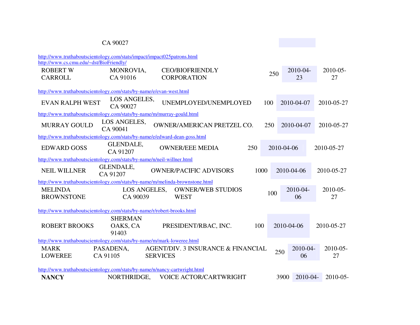### CA 90027

| http://www.truthaboutscientology.com/stats/impact/impact025patrons.html      |                              |                 |                                    |      |     |                  |               |
|------------------------------------------------------------------------------|------------------------------|-----------------|------------------------------------|------|-----|------------------|---------------|
| http://www.cs.cmu.edu/~dst/BioFriendly/                                      |                              |                 |                                    |      |     |                  |               |
| <b>ROBERT W</b>                                                              | MONROVIA,                    |                 | <b>CEO/BIOFRIENDLY</b>             |      | 250 | 2010-04-         | $2010 - 05 -$ |
| <b>CARROLL</b>                                                               | CA 91016                     |                 | <b>CORPORATION</b>                 |      |     | 23               | 27            |
|                                                                              |                              |                 |                                    |      |     |                  |               |
| http://www.truthaboutscientology.com/stats/by-name/e/evan-west.html          |                              |                 |                                    |      |     |                  |               |
| <b>EVAN RALPH WEST</b>                                                       | LOS ANGELES,<br>CA 90027     |                 | UNEMPLOYED/UNEMPLOYED              |      | 100 | 2010-04-07       | 2010-05-27    |
| http://www.truthaboutscientology.com/stats/by-name/m/murray-gould.html       |                              |                 |                                    |      |     |                  |               |
| <b>MURRAY GOULD</b>                                                          | LOS ANGELES,<br>CA 90041     |                 | <b>OWNER/AMERICAN PRETZEL CO.</b>  |      | 250 | 2010-04-07       | 2010-05-27    |
| http://www.truthaboutscientology.com/stats/by-name/e/edward-dean-goss.html   |                              |                 |                                    |      |     |                  |               |
| <b>EDWARD GOSS</b>                                                           | <b>GLENDALE,</b><br>CA 91207 |                 | <b>OWNER/EEE MEDIA</b>             | 250  |     | 2010-04-06       | 2010-05-27    |
| http://www.truthaboutscientology.com/stats/by-name/n/neil-willner.html       |                              |                 |                                    |      |     |                  |               |
| <b>NEIL WILLNER</b>                                                          | GLENDALE,<br>CA 91207        |                 | <b>OWNER/PACIFIC ADVISORS</b>      | 1000 |     | 2010-04-06       | 2010-05-27    |
| http://www.truthaboutscientology.com/stats/by-name/m/melinda-brownstone.html |                              |                 |                                    |      |     |                  |               |
| <b>MELINDA</b>                                                               | LOS ANGELES,                 |                 | <b>OWNER/WEB STUDIOS</b>           |      | 100 | 2010-04-         | 2010-05-      |
| <b>BROWNSTONE</b>                                                            | CA 90039                     |                 | <b>WEST</b>                        |      |     | 06               | 27            |
|                                                                              |                              |                 |                                    |      |     |                  |               |
| http://www.truthaboutscientology.com/stats/by-name/r/robert-brooks.html      |                              |                 |                                    |      |     |                  |               |
|                                                                              | <b>SHERMAN</b>               |                 |                                    |      |     |                  |               |
| <b>ROBERT BROOKS</b>                                                         | OAKS, CA                     |                 | PRESIDENT/RBAC, INC.               | 100  |     | 2010-04-06       | 2010-05-27    |
|                                                                              | 91403                        |                 |                                    |      |     |                  |               |
| http://www.truthaboutscientology.com/stats/by-name/m/mark-loweree.html       |                              |                 |                                    |      |     |                  |               |
| <b>MARK</b>                                                                  | PASADENA,                    |                 | AGENT/DIV. 3 INSURANCE & FINANCIAL |      | 250 | 2010-04-         | $2010 - 05 -$ |
| <b>LOWEREE</b>                                                               | CA 91105                     | <b>SERVICES</b> |                                    |      |     | 06               | 27            |
| http://www.truthaboutscientology.com/stats/by-name/n/nancy-cartwright.html   |                              |                 |                                    |      |     |                  |               |
| <b>NANCY</b>                                                                 | NORTHRIDGE,                  |                 | VOICE ACTOR/CARTWRIGHT             |      |     | 2010-04-<br>3900 | $2010 - 05$   |
|                                                                              |                              |                 |                                    |      |     |                  |               |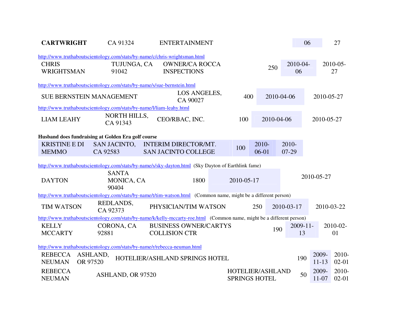| <b>CARTWRIGHT</b>                    | CA 91324                                                                | <b>ENTERTAINMENT</b>                                                                                                   |            |                                          |                   | 06                 | 27                  |
|--------------------------------------|-------------------------------------------------------------------------|------------------------------------------------------------------------------------------------------------------------|------------|------------------------------------------|-------------------|--------------------|---------------------|
|                                      |                                                                         | http://www.truthaboutscientology.com/stats/by-name/c/chris-wrightsman.html                                             |            |                                          |                   |                    |                     |
| <b>CHRIS</b><br>WRIGHTSMAN           | TUJUNGA, CA<br>91042                                                    | <b>OWNER/CA ROCCA</b><br><b>INSPECTIONS</b>                                                                            |            | 250                                      | 2010-04-<br>06    |                    | $2010 - 05 -$<br>27 |
|                                      | http://www.truthaboutscientology.com/stats/by-name/s/sue-bernstein.html |                                                                                                                        |            |                                          |                   |                    |                     |
|                                      | <b>SUE BERNSTEIN MANAGEMENT</b>                                         | LOS ANGELES,<br>CA 90027                                                                                               | 400        |                                          | 2010-04-06        |                    | 2010-05-27          |
|                                      | http://www.truthaboutscientology.com/stats/by-name/l/liam-leahy.html    |                                                                                                                        |            |                                          |                   |                    |                     |
| <b>LIAM LEAHY</b>                    | <b>NORTH HILLS,</b><br>CA 91343                                         | CEO/RBAC, INC.                                                                                                         | 100        | 2010-04-06                               |                   |                    | 2010-05-27          |
|                                      | Husband does fundraising at Golden Era golf course                      |                                                                                                                        |            |                                          |                   |                    |                     |
| <b>KRISTINE E DI</b><br><b>MEMMO</b> | <b>SAN JACINTO,</b><br>CA 92583                                         | <b>INTERIM DIRECTOR/MT.</b><br><b>SAN JACINTO COLLEGE</b>                                                              | 100        | 2010-<br>$06-01$                         | 2010-<br>07-29    |                    |                     |
|                                      |                                                                         | http://www.truthaboutscientology.com/stats/by-name/s/sky-dayton.html (Sky Dayton of Earthlink fame)                    |            |                                          |                   |                    |                     |
| <b>DAYTON</b>                        | <b>SANTA</b><br>MONICA, CA<br>90404                                     | 1800                                                                                                                   | 2010-05-17 |                                          |                   | 2010-05-27         |                     |
|                                      |                                                                         | http://www.truthaboutscientology.com/stats/by-name/t/tim-watson.html (Common name, might be a different person)        |            |                                          |                   |                    |                     |
| <b>TIM WATSON</b>                    | REDLANDS,<br>CA 92373                                                   | PHYSICIAN/TIM WATSON                                                                                                   |            | 250                                      | 2010-03-17        |                    | 2010-03-22          |
|                                      |                                                                         | http://www.truthaboutscientology.com/stats/by-name/k/kelly-mccarty-roe.html (Common name, might be a different person) |            |                                          |                   |                    |                     |
| <b>KELLY</b><br><b>MCCARTY</b>       | CORONA, CA<br>92881                                                     | <b>BUSINESS OWNER/CARTYS</b><br><b>COLLISION CTR</b>                                                                   |            | 190                                      | $2009 - 11$<br>13 |                    | 2010-02-<br>01      |
|                                      |                                                                         | http://www.truthaboutscientology.com/stats/by-name/r/rebecca-neuman.html                                               |            |                                          |                   |                    |                     |
| <b>REBECCA</b><br><b>NEUMAN</b>      | ASHLAND,<br>OR 97520                                                    | HOTELIER/ASHLAND SPRINGS HOTEL                                                                                         |            |                                          | 190               | 2009-<br>$11 - 13$ | 2010-<br>$02 - 01$  |
| <b>REBECCA</b><br><b>NEUMAN</b>      | ASHLAND, OR 97520                                                       |                                                                                                                        |            | HOTELIER/ASHLAND<br><b>SPRINGS HOTEL</b> | 50                | 2009-<br>$11 - 07$ | 2010-<br>$02 - 01$  |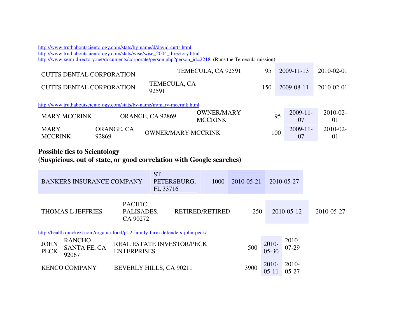http://www.truthaboutscientology.com/stats/by-name/d/david-cutts.htmlhttp://www.truthaboutscientology.com/stats/wise/wise\_2004\_directory.html http://www.xenu-directory.net/documents/corporate/person.php?person\_id=2218 (Runs the Temecula mission) CUTTS DENTAL CORPORATION TEMECULA, CA 92591 95 2009-11-13 2010-02-01

| CUTTS DENTAL CORPORATION                                               |            | TEMECULA, CA              |                   | 150 |    |             |             |  |
|------------------------------------------------------------------------|------------|---------------------------|-------------------|-----|----|-------------|-------------|--|
| <b>CUTTS DENTAL CORPORATION</b>                                        |            | 92591                     |                   |     |    | 2009-08-11  | 2010-02-01  |  |
| http://www.truthaboutscientology.com/stats/by-name/m/mary-mccrink.html |            |                           |                   |     |    |             |             |  |
| <b>MARY MCCRINK</b>                                                    |            | ORANGE, CA 92869          | <b>OWNER/MARY</b> |     | 95 | $2009 - 11$ | $2010 - 02$ |  |
|                                                                        |            |                           | <b>MCCRINK</b>    |     |    |             | 01          |  |
| <b>MARY</b>                                                            | ORANGE, CA | <b>OWNER/MARY MCCRINK</b> |                   |     |    | $2009 - 11$ | $2010 - 02$ |  |
| <b>MCCRINK</b>                                                         | 92869      |                           |                   | 100 |    | 07          | O1          |  |

## **Possible ties to Scientology**

### **(Suspicious, out of state, or good correlation with Google searches)**

|                                                                                                | <b>BANKERS INSURANCE COMPANY</b>       |                    | <b>ST</b><br>PETERSBURG,<br>FL 33716                                          | 1000 | 2010-05-21 |                    | 2010-05-27           |            |
|------------------------------------------------------------------------------------------------|----------------------------------------|--------------------|-------------------------------------------------------------------------------|------|------------|--------------------|----------------------|------------|
| <b>PACIFIC</b><br><b>RETIRED/RETIRED</b><br><b>THOMAS L JEFFRIES</b><br>PALISADES,<br>CA 90272 |                                        |                    |                                                                               |      |            | 250                | 2010-05-12           | 2010-05-27 |
|                                                                                                |                                        |                    | http://health.quickezt.com/organic-food/pt-2-family-farm-defenders-john-peck/ |      |            |                    |                      |            |
| <b>JOHN</b><br><b>PECK</b>                                                                     | <b>RANCHO</b><br>SANTA FE, CA<br>92067 | <b>ENTERPRISES</b> | <b>REAL ESTATE INVESTOR/PECK</b>                                              |      | 500        | 2010-<br>$05 - 30$ | 2010-<br>$07-29$     |            |
|                                                                                                | <b>KENCO COMPANY</b>                   |                    | <b>BEVERLY HILLS, CA 90211</b>                                                |      | 3900       | 2010-<br>$05 - 11$ | $2010-$<br>$05 - 27$ |            |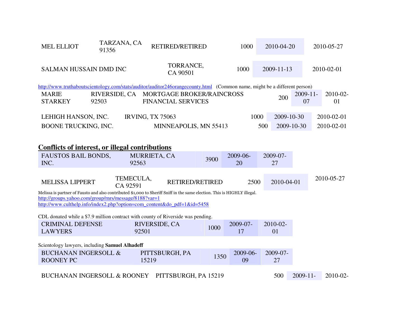| <b>MEL ELLIOT</b><br>91356                                                                                                                                                                                                                                   | TARZANA, CA                    | RETIRED/RETIRED                                                      |      | 1000                   | 2010-04-20       |            |                   | 2010-05-27     |
|--------------------------------------------------------------------------------------------------------------------------------------------------------------------------------------------------------------------------------------------------------------|--------------------------------|----------------------------------------------------------------------|------|------------------------|------------------|------------|-------------------|----------------|
| SALMAN HUSSAIN DMD INC                                                                                                                                                                                                                                       |                                | TORRANCE,<br>CA 90501                                                |      | 1000                   | $2009 - 11 - 13$ |            |                   | 2010-02-01     |
| http://www.truthaboutscientology.com/stats/auditor/auditor246orangecounty.html (Common name, might be a different person)                                                                                                                                    |                                |                                                                      |      |                        |                  |            |                   |                |
| <b>MARIE</b><br><b>STARKEY</b><br>92503                                                                                                                                                                                                                      |                                | RIVERSIDE, CA MORTGAGE BROKER/RAINCROSS<br><b>FINANCIAL SERVICES</b> |      |                        |                  | 200        | $2009 - 11$<br>07 | 2010-02-<br>01 |
| LEHIGH HANSON, INC.                                                                                                                                                                                                                                          |                                | <b>IRVING, TX 75063</b>                                              |      | 1000                   |                  | 2009-10-30 |                   | 2010-02-01     |
| BOONE TRUCKING, INC.                                                                                                                                                                                                                                         |                                | MINNEAPOLIS, MN 55413                                                |      |                        | 500              | 2009-10-30 |                   | 2010-02-01     |
| <b>Conflicts of interest, or illegal contributions</b><br>FAUSTOS BAIL BONDS,<br>INC.<br><b>MELISSA LIPPERT</b>                                                                                                                                              | 92563<br>TEMECULA,<br>CA 92591 | MURRIETA, CA<br><b>RETIRED/RETIRED</b>                               | 3900 | 2009-06-<br>20<br>2500 | 2009-07-<br>27   | 2010-04-01 |                   | 2010-05-27     |
| Melissa is partner of Fausto and also contributed \$1,000 to Sheriff Sniff in the same election. This is HIGHLY illegal.<br>http://groups.yahoo.com/group/rnrs/message/8188?var=1<br>http://www.culthelp.info/index2.php?option=com content&do pdf=1&id=5458 |                                |                                                                      |      |                        |                  |            |                   |                |
| CDL donated while a \$7.9 million contract with county of Riverside was pending.                                                                                                                                                                             |                                |                                                                      |      |                        |                  |            |                   |                |
| <b>CRIMINAL DEFENSE</b><br><b>LAWYERS</b>                                                                                                                                                                                                                    | 92501                          | RIVERSIDE, CA                                                        | 1000 | 2009-07-<br>17         | 2010-02-<br>01   |            |                   |                |
| Scientology lawyers, including Samuel Alhadeff                                                                                                                                                                                                               |                                |                                                                      |      |                        |                  |            |                   |                |
| <b>BUCHANAN INGERSOLL &amp;</b><br><b>ROONEY PC</b>                                                                                                                                                                                                          |                                | PITTSBURGH, PA<br>15219                                              | 1350 | 2009-06-<br>09         | 2009-07-<br>27   |            |                   |                |
| BUCHANAN INGERSOLL & ROONEY PITTSBURGH, PA 15219                                                                                                                                                                                                             |                                |                                                                      |      |                        | 500              |            | $2009 - 11$       | $2010 - 02$    |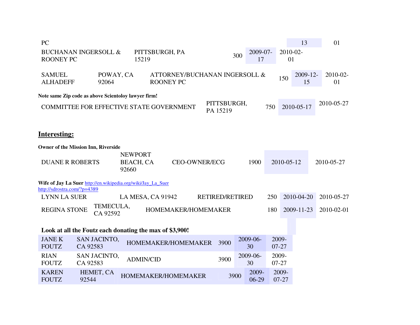| PC                               |                                                                                                                                   |                   |                                                   |  |                 |     |                  |     |                    | 13                | 01                |
|----------------------------------|-----------------------------------------------------------------------------------------------------------------------------------|-------------------|---------------------------------------------------|--|-----------------|-----|------------------|-----|--------------------|-------------------|-------------------|
| <b>ROONEY PC</b>                 | <b>BUCHANAN INGERSOLL &amp;</b>                                                                                                   | 15219             | PITTSBURGH, PA                                    |  |                 | 300 | 2009-07-<br>17   |     | 2010-02-<br>01     |                   |                   |
| <b>SAMUEL</b><br><b>ALHADEFF</b> | POWAY, CA<br>92064                                                                                                                |                   | ATTORNEY/BUCHANAN INGERSOLL &<br><b>ROONEY PC</b> |  |                 |     |                  |     | 150                | $2009 - 12$<br>15 | $2010 - 02$<br>01 |
|                                  | Note same Zip code as above Scientoloy lawyer firm!                                                                               |                   |                                                   |  |                 |     |                  |     |                    |                   |                   |
|                                  | PITTSBURGH,<br>2010-05-27<br>750<br>2010-05-17<br><b>COMMITTEE FOR EFFECTIVE STATE GOVERNMENT</b><br>PA 15219                     |                   |                                                   |  |                 |     |                  |     |                    |                   |                   |
| <b>Interesting:</b>              |                                                                                                                                   |                   |                                                   |  |                 |     |                  |     |                    |                   |                   |
|                                  | Owner of the Mission Inn, Riverside                                                                                               |                   |                                                   |  |                 |     |                  |     |                    |                   |                   |
|                                  | <b>NEWPORT</b><br><b>DUANE R ROBERTS</b><br><b>BEACH, CA</b><br><b>CEO-OWNER/ECG</b><br>1900<br>2010-05-12<br>2010-05-27<br>92660 |                   |                                                   |  |                 |     |                  |     |                    |                   |                   |
| http://sdrostra.com/?p=4389      | Wife of Jay La Suer http://en.wikipedia.org/wiki/Jay_La_Suer                                                                      |                   |                                                   |  |                 |     |                  |     |                    |                   |                   |
| <b>LYNN LA SUER</b>              |                                                                                                                                   | LA MESA, CA 91942 |                                                   |  | RETIRED/RETIRED |     |                  | 250 |                    | 2010-04-20        | 2010-05-27        |
| <b>REGINA STONE</b>              | TEMECULA,<br>CA 92592                                                                                                             |                   | HOMEMAKER/HOMEMAKER                               |  |                 |     |                  | 180 |                    | 2009-11-23        | 2010-02-01        |
|                                  | Look at all the Foutz each donating the max of \$3,900!                                                                           |                   |                                                   |  |                 |     |                  |     |                    |                   |                   |
| <b>JANE K</b><br><b>FOUTZ</b>    | <b>SAN JACINTO,</b><br>CA 92583                                                                                                   |                   | HOMEMAKER/HOMEMAKER                               |  | 3900            |     | 2009-06-<br>30   |     | 2009-<br>$07 - 27$ |                   |                   |
| <b>RIAN</b><br><b>FOUTZ</b>      | <b>SAN JACINTO,</b><br>CA 92583                                                                                                   | <b>ADMIN/CID</b>  |                                                   |  | 3900            |     | 2009-06-<br>30   |     | 2009-<br>$07 - 27$ |                   |                   |
| <b>KAREN</b><br><b>FOUTZ</b>     | HEMET, CA<br>92544                                                                                                                |                   | HOMEMAKER/HOMEMAKER                               |  | 3900            |     | 2009-<br>$06-29$ |     | 2009-<br>$07 - 27$ |                   |                   |
|                                  |                                                                                                                                   |                   |                                                   |  |                 |     |                  |     |                    |                   |                   |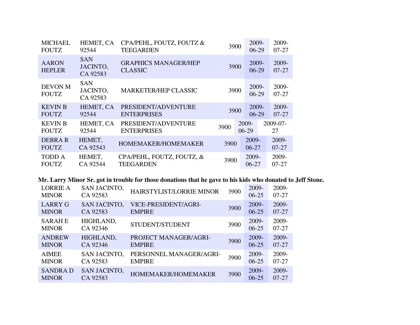| <b>MICHAEL</b><br><b>FOUTZ</b> | HEMET, CA<br>92544                 | CPA/PEHL, FOUTZ, FOUTZ &<br><b>TEEGARDEN</b>  |      | 3900             | 2009-<br>$06-29$ | 2009-<br>$07 - 27$ |
|--------------------------------|------------------------------------|-----------------------------------------------|------|------------------|------------------|--------------------|
| <b>AARON</b><br><b>HEPLER</b>  | <b>SAN</b><br>JACINTO,<br>CA 92583 | <b>GRAPHICS MANAGER/HEP</b><br><b>CLASSIC</b> |      | 3900             | 2009-<br>$06-29$ | 2009-<br>$07 - 27$ |
| <b>DEVON M</b><br><b>FOUTZ</b> | SAN<br>JACINTO,<br>CA 92583        | <b>MARKETER/HEP CLASSIC</b>                   | 3900 |                  | 2009-<br>$06-29$ | 2009-<br>$07 - 27$ |
| <b>KEVIN B</b><br><b>FOUTZ</b> | HEMET, CA<br>92544                 | PRESIDENT/ADVENTURE<br><b>ENTERPRISES</b>     | 3900 |                  | 2009-<br>$06-29$ | 2009-<br>$07 - 27$ |
| <b>KEVIN B</b><br><b>FOUTZ</b> | HEMET, CA<br>92544                 | PRESIDENT/ADVENTURE<br><b>ENTERPRISES</b>     | 3900 | 2009-<br>$06-29$ |                  | 2009-07-<br>27     |
| DEBRA R<br><b>FOUTZ</b>        | HEMET,<br>CA 92543                 | HOMEMAKER/HOMEMAKER                           | 3900 | 2009-<br>$06-27$ |                  | 2009-<br>$07 - 27$ |
| <b>TODD A</b><br><b>FOUTZ</b>  | HEMET,<br>CA 92544                 | CPA/PEHL, FOUTZ, FOUTZ, &<br><b>TEEGARDEN</b> | 3900 | 2009-<br>$06-27$ |                  | 2009-<br>$07 - 27$ |

#### **Mr. Larry Minor Sr. got in trouble for those donations that he gave to his kids who donated to Jeff Stone.**

| <b>LORRIE A</b><br><b>MINOR</b> | <b>SAN JACINTO,</b><br>CA 92583 | HAIRSTYLIST/LORRIE MINOR | 3900 | 2009-<br>$06 - 25$ | 2009-<br>$07 - 27$ |
|---------------------------------|---------------------------------|--------------------------|------|--------------------|--------------------|
| <b>LARRY G</b>                  | <b>SAN JACINTO,</b>             | VICE-PRESIDENT/AGRI-     | 3900 | 2009-              | 2009-              |
| <b>MINOR</b>                    | CA 92583                        | <b>EMPIRE</b>            |      | $06 - 25$          | $07 - 27$          |
| <b>SARAHE</b><br><b>MINOR</b>   | HIGHLAND,<br>CA 92346           | STUDENT/STUDENT          | 3900 | 2009-<br>$06 - 25$ | 2009-<br>$07 - 27$ |
| <b>ANDREW</b>                   | HIGHLAND,                       | PROJECT MANAGER/AGRI-    | 3900 | 2009-              | 2009-              |
| <b>MINOR</b>                    | CA 92346                        | <b>EMPIRE</b>            |      | $06 - 25$          | $07 - 27$          |
| <b>AIMEE</b>                    | <b>SAN JACINTO,</b>             | PERSONNEL MANAGER/AGRI-  | 3900 | 2009-              | 2009-              |
| <b>MINOR</b>                    | CA 92583                        | <b>EMPIRE</b>            |      | $06 - 25$          | $07-27$            |
| <b>SANDRAD</b><br><b>MINOR</b>  | <b>SAN JACINTO,</b><br>CA 92583 | HOMEMAKER/HOMEMAKER      | 3900 | 2009-<br>$06 - 25$ | 2009-<br>$07-27$   |